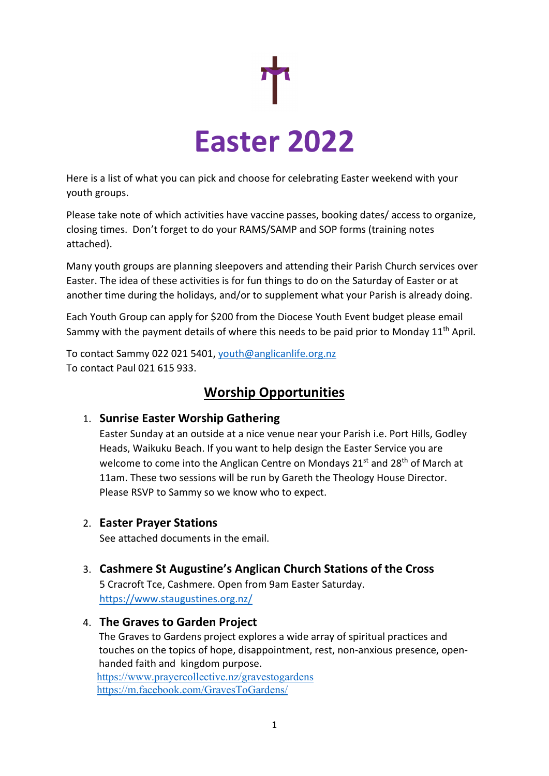# **Easter 2022**

Here is a list of what you can pick and choose for celebrating Easter weekend with your youth groups.

Please take note of which activities have vaccine passes, booking dates/ access to organize, closing times. Don't forget to do your RAMS/SAMP and SOP forms (training notes attached).

Many youth groups are planning sleepovers and attending their Parish Church services over Easter. The idea of these activities is for fun things to do on the Saturday of Easter or at another time during the holidays, and/or to supplement what your Parish is already doing.

Each Youth Group can apply for \$200 from the Diocese Youth Event budget please email Sammy with the payment details of where this needs to be paid prior to Monday 11<sup>th</sup> April.

To contact Sammy 022 021 5401[, youth@anglicanlife.org.nz](mailto:youth@anglicanlife.org.nz) To contact Paul 021 615 933.

# **Worship Opportunities**

## 1. **Sunrise Easter Worship Gathering**

Easter Sunday at an outside at a nice venue near your Parish i.e. Port Hills, Godley Heads, Waikuku Beach. If you want to help design the Easter Service you are welcome to come into the Anglican Centre on Mondays 21<sup>st</sup> and 28<sup>th</sup> of March at 11am. These two sessions will be run by Gareth the Theology House Director. Please RSVP to Sammy so we know who to expect.

## 2. **Easter Prayer Stations**

See attached documents in the email.

- 3. **Cashmere St Augustine's Anglican Church Stations of the Cross** 5 Cracroft Tce, Cashmere. Open from 9am Easter Saturday. <https://www.staugustines.org.nz/>
- 4. **The Graves to Garden Project**

 The Graves to Gardens project explores a wide array of spiritual practices and touches on the topics of hope, disappointment, rest, non-anxious presence, open handed faith and kingdom purpose. <https://www.prayercollective.nz/gravestogardens> <https://m.facebook.com/GravesToGardens/>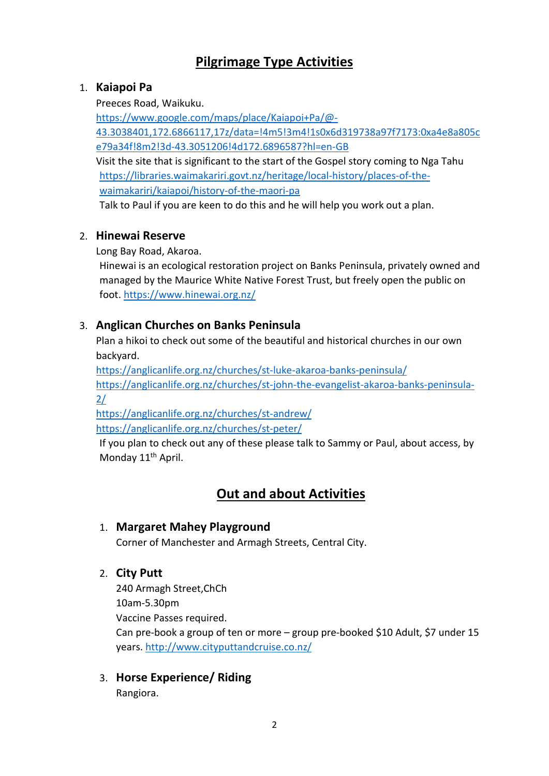# **Pilgrimage Type Activities**

### 1. **Kaiapoi Pa**

Preeces Road, Waikuku.

[https://www.google.com/maps/place/Kaiapoi+Pa/@-](https://www.google.com/maps/place/Kaiapoi+Pa/@-43.3038401,172.6866117,17z/data=!4m5!3m4!1s0x6d319738a97f7173:0xa4e8a805ce79a34f!8m2!3d-43.3051206!4d172.6896587?hl=en-GB)

[43.3038401,172.6866117,17z/data=!4m5!3m4!1s0x6d319738a97f7173:0xa4e8a805c](https://www.google.com/maps/place/Kaiapoi+Pa/@-43.3038401,172.6866117,17z/data=!4m5!3m4!1s0x6d319738a97f7173:0xa4e8a805ce79a34f!8m2!3d-43.3051206!4d172.6896587?hl=en-GB) [e79a34f!8m2!3d-43.3051206!4d172.6896587?hl=en-GB](https://www.google.com/maps/place/Kaiapoi+Pa/@-43.3038401,172.6866117,17z/data=!4m5!3m4!1s0x6d319738a97f7173:0xa4e8a805ce79a34f!8m2!3d-43.3051206!4d172.6896587?hl=en-GB)

Visit the site that is significant to the start of the Gospel story coming to Nga Tahu [https://libraries.waimakariri.govt.nz/heritage/local-history/places-of-the](https://libraries.waimakariri.govt.nz/heritage/local-history/places-of-the-waimakariri/kaiapoi/history-of-the-maori-pa)[waimakariri/kaiapoi/history-of-the-maori-pa](https://libraries.waimakariri.govt.nz/heritage/local-history/places-of-the-waimakariri/kaiapoi/history-of-the-maori-pa)

Talk to Paul if you are keen to do this and he will help you work out a plan.

### 2. **Hinewai Reserve**

Long Bay Road, Akaroa.

Hinewai is an ecological restoration project on Banks Peninsula, privately owned and managed by the Maurice White Native Forest Trust, but freely open the public on foot. <https://www.hinewai.org.nz/>

### 3. **Anglican Churches on Banks Peninsula**

Plan a hikoi to check out some of the beautiful and historical churches in our own backyard.

<https://anglicanlife.org.nz/churches/st-luke-akaroa-banks-peninsula/>

[https://anglicanlife.org.nz/churches/st-john-the-evangelist-akaroa-banks-peninsula-](https://anglicanlife.org.nz/churches/st-john-the-evangelist-akaroa-banks-peninsula-2/)[2/](https://anglicanlife.org.nz/churches/st-john-the-evangelist-akaroa-banks-peninsula-2/)

<https://anglicanlife.org.nz/churches/st-andrew/> <https://anglicanlife.org.nz/churches/st-peter/>

If you plan to check out any of these please talk to Sammy or Paul, about access, by Monday 11<sup>th</sup> April.

# **Out and about Activities**

#### 1. **Margaret Mahey Playground**

Corner of Manchester and Armagh Streets, Central City.

#### 2. **City Putt**

240 Armagh Street,ChCh 10am-5.30pm Vaccine Passes required. Can pre-book a group of ten or more – group pre-booked \$10 Adult, \$7 under 15 years.<http://www.cityputtandcruise.co.nz/>

3. **Horse Experience/ Riding** Rangiora.